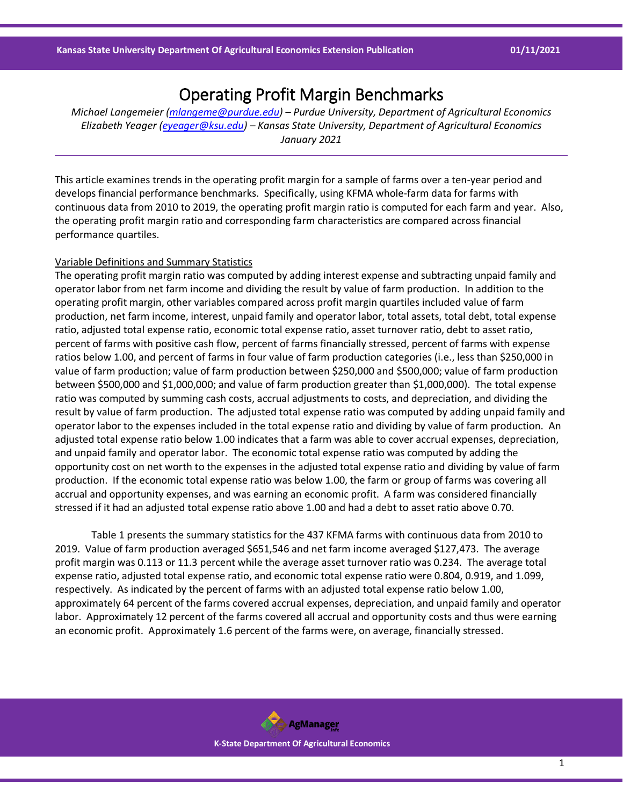# Operating Profit Margin Benchmarks

*Michael Langemeier [\(mlangeme@purdue.edu\)](mailto:mlangeme@purdue.edu) – Purdue University, Department of Agricultural Economics Elizabeth Yeager [\(eyeager@ksu.edu\)](mailto:eyeager@ksu.edu) – Kansas State University, Department of Agricultural Economics January 2021*

This article examines trends in the operating profit margin for a sample of farms over a ten-year period and develops financial performance benchmarks. Specifically, using KFMA whole-farm data for farms with continuous data from 2010 to 2019, the operating profit margin ratio is computed for each farm and year. Also, the operating profit margin ratio and corresponding farm characteristics are compared across financial performance quartiles.

# Variable Definitions and Summary Statistics

The operating profit margin ratio was computed by adding interest expense and subtracting unpaid family and operator labor from net farm income and dividing the result by value of farm production. In addition to the operating profit margin, other variables compared across profit margin quartiles included value of farm production, net farm income, interest, unpaid family and operator labor, total assets, total debt, total expense ratio, adjusted total expense ratio, economic total expense ratio, asset turnover ratio, debt to asset ratio, percent of farms with positive cash flow, percent of farms financially stressed, percent of farms with expense ratios below 1.00, and percent of farms in four value of farm production categories (i.e., less than \$250,000 in value of farm production; value of farm production between \$250,000 and \$500,000; value of farm production between \$500,000 and \$1,000,000; and value of farm production greater than \$1,000,000). The total expense ratio was computed by summing cash costs, accrual adjustments to costs, and depreciation, and dividing the result by value of farm production. The adjusted total expense ratio was computed by adding unpaid family and operator labor to the expenses included in the total expense ratio and dividing by value of farm production. An adjusted total expense ratio below 1.00 indicates that a farm was able to cover accrual expenses, depreciation, and unpaid family and operator labor. The economic total expense ratio was computed by adding the opportunity cost on net worth to the expenses in the adjusted total expense ratio and dividing by value of farm production. If the economic total expense ratio was below 1.00, the farm or group of farms was covering all accrual and opportunity expenses, and was earning an economic profit. A farm was considered financially stressed if it had an adjusted total expense ratio above 1.00 and had a debt to asset ratio above 0.70.

Table 1 presents the summary statistics for the 437 KFMA farms with continuous data from 2010 to 2019. Value of farm production averaged \$651,546 and net farm income averaged \$127,473. The average profit margin was 0.113 or 11.3 percent while the average asset turnover ratio was 0.234. The average total expense ratio, adjusted total expense ratio, and economic total expense ratio were 0.804, 0.919, and 1.099, respectively. As indicated by the percent of farms with an adjusted total expense ratio below 1.00, approximately 64 percent of the farms covered accrual expenses, depreciation, and unpaid family and operator labor. Approximately 12 percent of the farms covered all accrual and opportunity costs and thus were earning an economic profit. Approximately 1.6 percent of the farms were, on average, financially stressed.

> **AgManager K-State Department Of Agricultural Economics**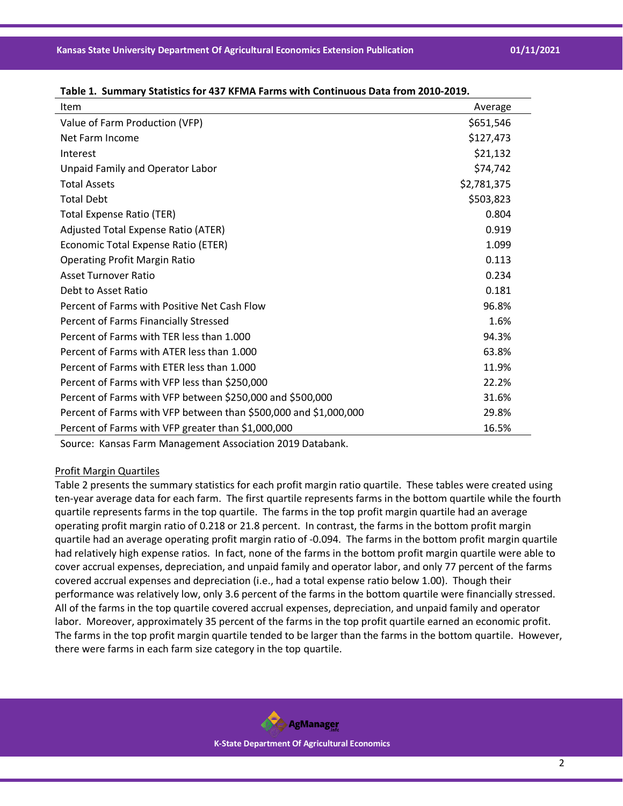Source: Kansas Farm Management Association 2019 Databank.

## Profit Margin Quartiles

Table 2 presents the summary statistics for each profit margin ratio quartile. These tables were created using ten-year average data for each farm. The first quartile represents farms in the bottom quartile while the fourth quartile represents farms in the top quartile. The farms in the top profit margin quartile had an average operating profit margin ratio of 0.218 or 21.8 percent. In contrast, the farms in the bottom profit margin quartile had an average operating profit margin ratio of -0.094. The farms in the bottom profit margin quartile had relatively high expense ratios. In fact, none of the farms in the bottom profit margin quartile were able to cover accrual expenses, depreciation, and unpaid family and operator labor, and only 77 percent of the farms covered accrual expenses and depreciation (i.e., had a total expense ratio below 1.00). Though their performance was relatively low, only 3.6 percent of the farms in the bottom quartile were financially stressed. All of the farms in the top quartile covered accrual expenses, depreciation, and unpaid family and operator labor. Moreover, approximately 35 percent of the farms in the top profit quartile earned an economic profit. The farms in the top profit margin quartile tended to be larger than the farms in the bottom quartile. However, there were farms in each farm size category in the top quartile.

**Table 1. Summary Statistics for 437 KFMA Farms with Continuous Data from 2010-2019.**

| Item                                                             | Average     |
|------------------------------------------------------------------|-------------|
| Value of Farm Production (VFP)                                   | \$651,546   |
| Net Farm Income                                                  | \$127,473   |
| Interest                                                         | \$21,132    |
| Unpaid Family and Operator Labor                                 | \$74,742    |
| <b>Total Assets</b>                                              | \$2,781,375 |
| <b>Total Debt</b>                                                | \$503,823   |
| <b>Total Expense Ratio (TER)</b>                                 | 0.804       |
| Adjusted Total Expense Ratio (ATER)                              | 0.919       |
| Economic Total Expense Ratio (ETER)                              | 1.099       |
| <b>Operating Profit Margin Ratio</b>                             | 0.113       |
| <b>Asset Turnover Ratio</b>                                      | 0.234       |
| Debt to Asset Ratio                                              | 0.181       |
| Percent of Farms with Positive Net Cash Flow                     | 96.8%       |
| Percent of Farms Financially Stressed                            | 1.6%        |
| Percent of Farms with TER less than 1,000                        | 94.3%       |
| Percent of Farms with ATER less than 1.000                       | 63.8%       |
| Percent of Farms with ETER less than 1.000                       | 11.9%       |
| Percent of Farms with VFP less than \$250,000                    | 22.2%       |
| Percent of Farms with VFP between \$250,000 and \$500,000        | 31.6%       |
| Percent of Farms with VFP between than \$500,000 and \$1,000,000 | 29.8%       |
| Percent of Farms with VFP greater than \$1,000,000               | 16.5%       |

**AgManager K-State Department Of Agricultural Economics**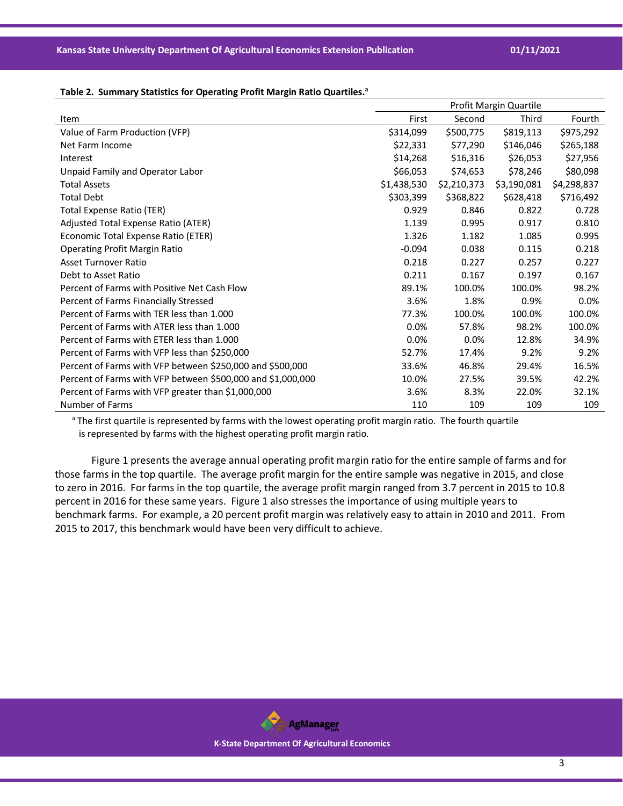#### Table 2. Summary Statistics for Operating Profit Margin Ratio Quartiles.<sup>a</sup>

|                                                             | Profit Margin Quartile |             |             |             |
|-------------------------------------------------------------|------------------------|-------------|-------------|-------------|
| Item                                                        | First                  | Second      | Third       | Fourth      |
| Value of Farm Production (VFP)                              | \$314,099              | \$500,775   | \$819,113   | \$975,292   |
| Net Farm Income                                             | \$22,331               | \$77,290    | \$146,046   | \$265,188   |
| Interest                                                    | \$14,268               | \$16,316    | \$26,053    | \$27,956    |
| Unpaid Family and Operator Labor                            | \$66,053               | \$74,653    | \$78,246    | \$80,098    |
| <b>Total Assets</b>                                         | \$1,438,530            | \$2,210,373 | \$3,190,081 | \$4,298,837 |
| <b>Total Debt</b>                                           | \$303,399              | \$368,822   | \$628,418   | \$716,492   |
| <b>Total Expense Ratio (TER)</b>                            | 0.929                  | 0.846       | 0.822       | 0.728       |
| Adjusted Total Expense Ratio (ATER)                         | 1.139                  | 0.995       | 0.917       | 0.810       |
| Economic Total Expense Ratio (ETER)                         | 1.326                  | 1.182       | 1.085       | 0.995       |
| <b>Operating Profit Margin Ratio</b>                        | $-0.094$               | 0.038       | 0.115       | 0.218       |
| Asset Turnover Ratio                                        | 0.218                  | 0.227       | 0.257       | 0.227       |
| Debt to Asset Ratio                                         | 0.211                  | 0.167       | 0.197       | 0.167       |
| Percent of Farms with Positive Net Cash Flow                | 89.1%                  | 100.0%      | 100.0%      | 98.2%       |
| Percent of Farms Financially Stressed                       | 3.6%                   | 1.8%        | 0.9%        | $0.0\%$     |
| Percent of Farms with TER less than 1.000                   | 77.3%                  | 100.0%      | 100.0%      | 100.0%      |
| Percent of Farms with ATER less than 1.000                  | 0.0%                   | 57.8%       | 98.2%       | 100.0%      |
| Percent of Farms with ETER less than 1.000                  | 0.0%                   | 0.0%        | 12.8%       | 34.9%       |
| Percent of Farms with VFP less than \$250,000               | 52.7%                  | 17.4%       | 9.2%        | 9.2%        |
| Percent of Farms with VFP between \$250,000 and \$500,000   | 33.6%                  | 46.8%       | 29.4%       | 16.5%       |
| Percent of Farms with VFP between \$500,000 and \$1,000,000 | 10.0%                  | 27.5%       | 39.5%       | 42.2%       |
| Percent of Farms with VFP greater than \$1,000,000          | 3.6%                   | 8.3%        | 22.0%       | 32.1%       |
| Number of Farms                                             | 110                    | 109         | 109         | 109         |

<sup>a</sup> The first quartile is represented by farms with the lowest operating profit margin ratio. The fourth quartile is represented by farms with the highest operating profit margin ratio.

Figure 1 presents the average annual operating profit margin ratio for the entire sample of farms and for those farms in the top quartile. The average profit margin for the entire sample was negative in 2015, and close to zero in 2016. For farms in the top quartile, the average profit margin ranged from 3.7 percent in 2015 to 10.8 percent in 2016 for these same years. Figure 1 also stresses the importance of using multiple years to benchmark farms. For example, a 20 percent profit margin was relatively easy to attain in 2010 and 2011. From 2015 to 2017, this benchmark would have been very difficult to achieve.



#### **K-State Department Of Agricultural Economics**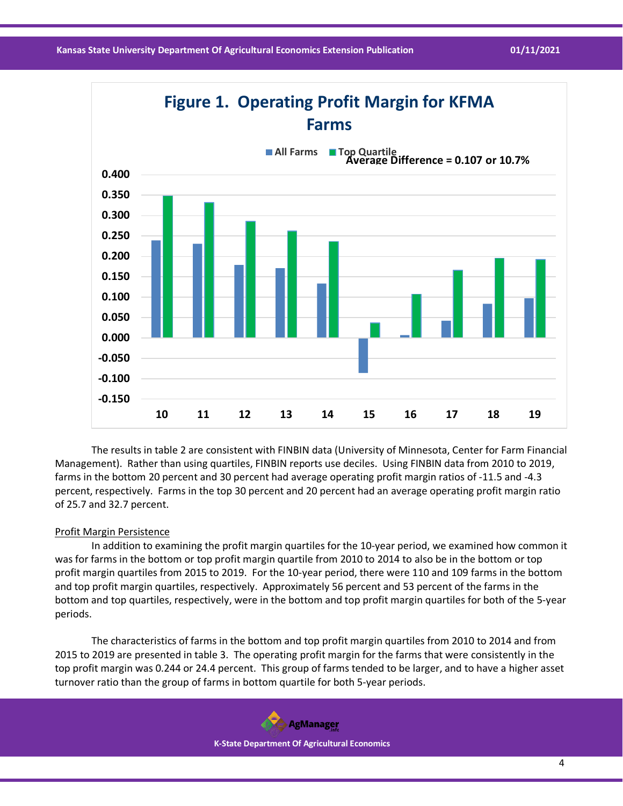

The results in table 2 are consistent with FINBIN data (University of Minnesota, Center for Farm Financial Management). Rather than using quartiles, FINBIN reports use deciles. Using FINBIN data from 2010 to 2019, farms in the bottom 20 percent and 30 percent had average operating profit margin ratios of -11.5 and -4.3 percent, respectively. Farms in the top 30 percent and 20 percent had an average operating profit margin ratio of 25.7 and 32.7 percent.

## Profit Margin Persistence

In addition to examining the profit margin quartiles for the 10-year period, we examined how common it was for farms in the bottom or top profit margin quartile from 2010 to 2014 to also be in the bottom or top profit margin quartiles from 2015 to 2019. For the 10-year period, there were 110 and 109 farms in the bottom and top profit margin quartiles, respectively. Approximately 56 percent and 53 percent of the farms in the bottom and top quartiles, respectively, were in the bottom and top profit margin quartiles for both of the 5-year periods.

The characteristics of farms in the bottom and top profit margin quartiles from 2010 to 2014 and from 2015 to 2019 are presented in table 3. The operating profit margin for the farms that were consistently in the top profit margin was 0.244 or 24.4 percent. This group of farms tended to be larger, and to have a higher asset turnover ratio than the group of farms in bottom quartile for both 5-year periods.